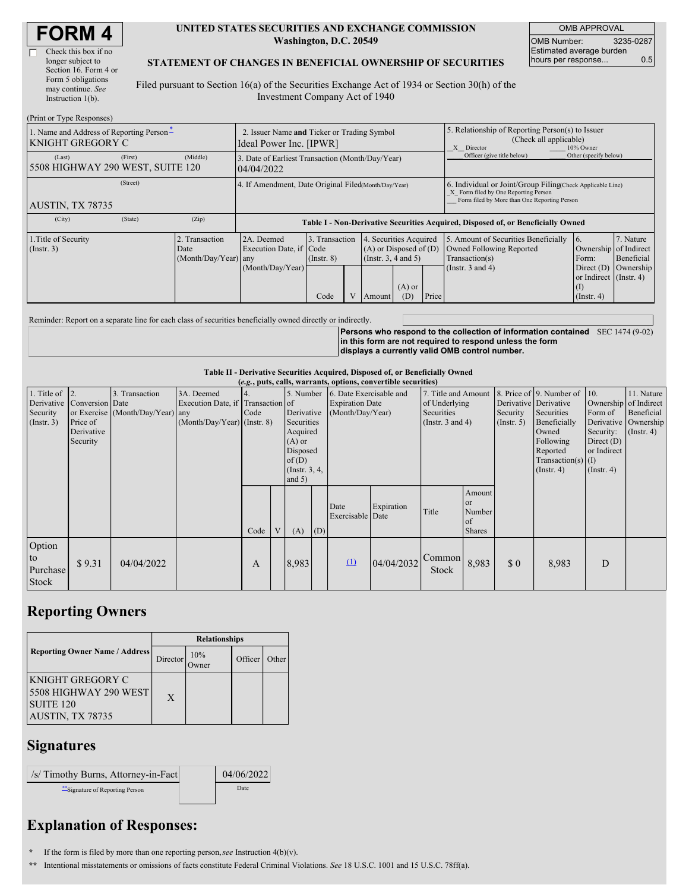| Check this box if no  |
|-----------------------|
| longer subject to     |
| Section 16. Form 4 or |
| Form 5 obligations    |
| may continue. See     |
| Instruction 1(b).     |
|                       |

 $(D_{\text{min}})$  or  $T_{\text{max}}$   $D$ 

#### **UNITED STATES SECURITIES AND EXCHANGE COMMISSION Washington, D.C. 20549**

OMB APPROVAL OMB Number: 3235-0287 Estimated average burden hours per response... 0.5

### **STATEMENT OF CHANGES IN BENEFICIAL OWNERSHIP OF SECURITIES**

Filed pursuant to Section 16(a) of the Securities Exchange Act of 1934 or Section 30(h) of the Investment Company Act of 1940

| (THIIL OF TYPE INCSPONSES)                                          |                                                                        |                                                      |                                                                                  |                                   |  |                                                                              |                                                                                                                                                    |                            |                                                                                    |                                                            |                         |
|---------------------------------------------------------------------|------------------------------------------------------------------------|------------------------------------------------------|----------------------------------------------------------------------------------|-----------------------------------|--|------------------------------------------------------------------------------|----------------------------------------------------------------------------------------------------------------------------------------------------|----------------------------|------------------------------------------------------------------------------------|------------------------------------------------------------|-------------------------|
| 1. Name and Address of Reporting Person-<br><b>KNIGHT GREGORY C</b> | 2. Issuer Name and Ticker or Trading Symbol<br>Ideal Power Inc. [IPWR] |                                                      |                                                                                  |                                   |  |                                                                              | 5. Relationship of Reporting Person(s) to Issuer<br>(Check all applicable)<br>Director<br>10% Owner<br>X                                           |                            |                                                                                    |                                                            |                         |
| (Last)<br>5508 HIGHWAY 290 WEST, SUITE 120                          | (First)                                                                | (Middle)                                             | 3. Date of Earliest Transaction (Month/Day/Year)<br>04/04/2022                   |                                   |  |                                                                              |                                                                                                                                                    | Officer (give title below) | Other (specify below)                                                              |                                                            |                         |
| AUSTIN, TX 78735                                                    |                                                                        | 4. If Amendment, Date Original Filed(Month/Day/Year) |                                                                                  |                                   |  |                                                                              | 6. Individual or Joint/Group Filing(Check Applicable Line)<br>X Form filed by One Reporting Person<br>Form filed by More than One Reporting Person |                            |                                                                                    |                                                            |                         |
| (City)                                                              | (State)                                                                | (Zip)                                                | Table I - Non-Derivative Securities Acquired, Disposed of, or Beneficially Owned |                                   |  |                                                                              |                                                                                                                                                    |                            |                                                                                    |                                                            |                         |
| 1. Title of Security<br>(Insert. 3)<br>Date                         |                                                                        | 2. Transaction<br>(Month/Day/Year) any               | 2A. Deemed<br>Execution Date, if Code                                            | 3. Transaction<br>$($ Instr. $8)$ |  | 4. Securities Acquired<br>$(A)$ or Disposed of $(D)$<br>(Insert. 3, 4 and 5) |                                                                                                                                                    |                            | 5. Amount of Securities Beneficially<br>Owned Following Reported<br>Transaction(s) | 16.<br>Ownership of Indirect<br>Form:                      | 7. Nature<br>Beneficial |
|                                                                     |                                                                        |                                                      | (Month/Day/Year)                                                                 | Code                              |  | Amount                                                                       | $(A)$ or<br>(D)                                                                                                                                    | Price                      | (Instr. $3$ and $4$ )                                                              | Direct $(D)$<br>or Indirect (Instr. 4)<br>$($ Instr. 4 $)$ | Ownership               |

Reminder: Report on a separate line for each class of securities beneficially owned directly or indirectly.

**Persons who respond to the collection of information contained** SEC 1474 (9-02) **in this form are not required to respond unless the form displays a currently valid OMB control number.**

**Table II - Derivative Securities Acquired, Disposed of, or Beneficially Owned (***e.g.***, puts, calls, warrants, options, convertible securities)**

| $(c, \xi)$ , puts, cans, warrants, options, convertible securities, |                 |                                  |                               |              |                |                 |                        |                         |               |                       |                       |                      |                              |                      |                  |
|---------------------------------------------------------------------|-----------------|----------------------------------|-------------------------------|--------------|----------------|-----------------|------------------------|-------------------------|---------------|-----------------------|-----------------------|----------------------|------------------------------|----------------------|------------------|
| 1. Title of $\vert$ 2.                                              |                 | 3. Transaction                   | 3A. Deemed                    |              |                | 5. Number       |                        | 6. Date Exercisable and |               | 7. Title and Amount   |                       |                      | 8. Price of 9. Number of 10. |                      | 11. Nature       |
| Derivative                                                          | Conversion Date |                                  | Execution Date, if            |              | Transaction of |                 | <b>Expiration Date</b> |                         | of Underlying |                       | Derivative Derivative |                      | Ownership of Indirect        |                      |                  |
| Security                                                            |                 | or Exercise (Month/Day/Year) any |                               | Code         | Derivative     |                 | (Month/Day/Year)       |                         | Securities    |                       | Security              | Securities           | Form of                      | Beneficial           |                  |
| $($ Instr. 3 $)$                                                    | Price of        |                                  | $(Month/Day/Year)$ (Instr. 8) |              |                | Securities      |                        |                         |               | (Instr. $3$ and $4$ ) |                       | (Insert. 5)          | Beneficially                 | Derivative Ownership |                  |
|                                                                     | Derivative      |                                  |                               |              |                |                 | Acquired               |                         |               |                       |                       |                      | Owned                        | Security:            | $($ Instr. 4 $)$ |
|                                                                     | Security        |                                  |                               |              |                | $(A)$ or        |                        |                         |               |                       |                       |                      | Following                    | Direct $(D)$         |                  |
|                                                                     |                 |                                  |                               |              |                | Disposed        |                        |                         |               |                       |                       |                      | Reported                     | or Indirect          |                  |
|                                                                     |                 |                                  |                               |              |                | of(D)           |                        |                         |               |                       |                       | $Transaction(s)$ (I) |                              |                      |                  |
|                                                                     |                 |                                  |                               |              |                | (Instr. $3, 4,$ |                        |                         |               |                       |                       | $($ Instr. 4 $)$     | $($ Instr. 4 $)$             |                      |                  |
|                                                                     |                 |                                  |                               |              |                | and $5)$        |                        |                         |               |                       |                       |                      |                              |                      |                  |
|                                                                     |                 |                                  |                               |              |                |                 |                        |                         |               |                       |                       |                      |                              |                      |                  |
|                                                                     |                 |                                  |                               |              |                |                 |                        |                         |               |                       | Amount                |                      |                              |                      |                  |
|                                                                     |                 |                                  |                               |              |                |                 |                        | Date                    | Expiration    |                       | <b>or</b>             |                      |                              |                      |                  |
|                                                                     |                 |                                  |                               |              |                |                 |                        | Exercisable Date        |               | Title                 | Number                |                      |                              |                      |                  |
|                                                                     |                 |                                  |                               |              |                |                 |                        |                         |               |                       | of                    |                      |                              |                      |                  |
|                                                                     |                 |                                  |                               | Code         |                | (A)             | (D)                    |                         |               |                       | <b>Shares</b>         |                      |                              |                      |                  |
| Option                                                              |                 |                                  |                               |              |                |                 |                        |                         |               |                       |                       |                      |                              |                      |                  |
| to                                                                  |                 |                                  |                               |              |                |                 |                        |                         |               | Common                |                       |                      |                              |                      |                  |
|                                                                     | \$9.31          | 04/04/2022                       |                               | $\mathbf{A}$ |                | 8,983           |                        | $\Omega$                | 04/04/2032    |                       | 8,983                 | \$0                  | 8,983                        | D                    |                  |
|                                                                     |                 |                                  |                               |              |                |                 |                        |                         |               |                       |                       |                      |                              |                      |                  |
| Stock                                                               |                 |                                  |                               |              |                |                 |                        |                         |               |                       |                       |                      |                              |                      |                  |
| Purchase                                                            |                 |                                  |                               |              |                |                 |                        |                         |               | <b>Stock</b>          |                       |                      |                              |                      |                  |

## **Reporting Owners**

|                                                                                              | <b>Relationships</b> |                      |         |       |  |  |  |
|----------------------------------------------------------------------------------------------|----------------------|----------------------|---------|-------|--|--|--|
| <b>Reporting Owner Name / Address</b>                                                        | Director             | 10%<br><b>J</b> wner | Officer | Other |  |  |  |
| KNIGHT GREGORY C<br><b>5508 HIGHWAY 290 WEST</b><br>SUITE <sub>120</sub><br>AUSTIN, TX 78735 | $\mathbf{X}$         |                      |         |       |  |  |  |

### **Signatures**

| $\frac{1}{s}$ Timothy Burns, Attorney-in-Fact | 04/06/2022 |
|-----------------------------------------------|------------|
| "Signature of Reporting Person                | Date       |

# **Explanation of Responses:**

**\*** If the form is filed by more than one reporting person,*see* Instruction 4(b)(v).

**\*\*** Intentional misstatements or omissions of facts constitute Federal Criminal Violations. *See* 18 U.S.C. 1001 and 15 U.S.C. 78ff(a).